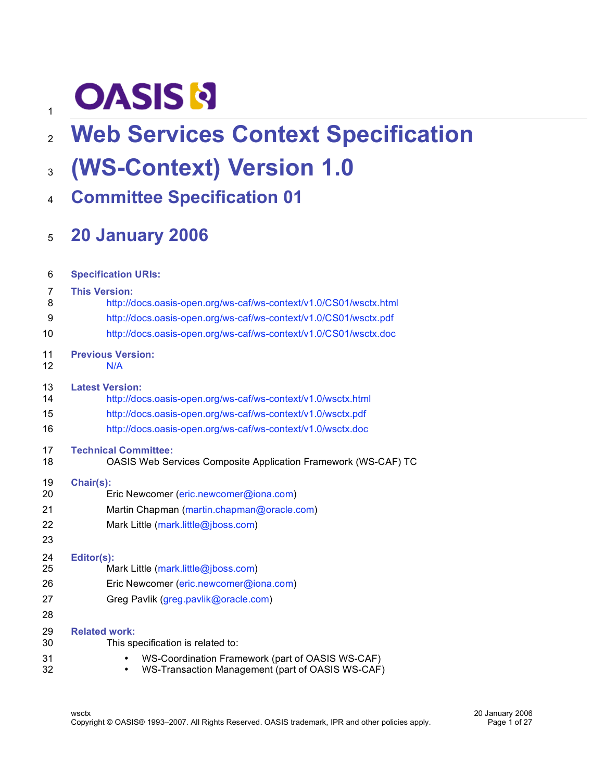# **OASIS N**

## **Web Services Context Specification**

### **(WS-Context) Version 1.0**

**Committee Specification 01**

### **20 January 2006**

| 6                          | <b>Specification URIs:</b>                                                                                                               |  |  |  |
|----------------------------|------------------------------------------------------------------------------------------------------------------------------------------|--|--|--|
| 7                          | <b>This Version:</b>                                                                                                                     |  |  |  |
| 8                          | http://docs.oasis-open.org/ws-caf/ws-context/v1.0/CS01/wsctx.html                                                                        |  |  |  |
| 9                          | http://docs.oasis-open.org/ws-caf/ws-context/v1.0/CS01/wsctx.pdf                                                                         |  |  |  |
| 10                         | http://docs.oasis-open.org/ws-caf/ws-context/v1.0/CS01/wsctx.doc                                                                         |  |  |  |
| 11                         | <b>Previous Version:</b>                                                                                                                 |  |  |  |
| 12                         | N/A                                                                                                                                      |  |  |  |
| 13                         | <b>Latest Version:</b>                                                                                                                   |  |  |  |
| 14                         | http://docs.oasis-open.org/ws-caf/ws-context/v1.0/wsctx.html                                                                             |  |  |  |
| 15                         | http://docs.oasis-open.org/ws-caf/ws-context/v1.0/wsctx.pdf                                                                              |  |  |  |
| 16                         | http://docs.oasis-open.org/ws-caf/ws-context/v1.0/wsctx.doc                                                                              |  |  |  |
| 17                         | <b>Technical Committee:</b>                                                                                                              |  |  |  |
| 18                         | OASIS Web Services Composite Application Framework (WS-CAF) TC                                                                           |  |  |  |
| 19<br>20<br>21<br>22<br>23 | Chair(s):<br>Eric Newcomer (eric.newcomer@iona.com)<br>Martin Chapman (martin.chapman@oracle.com)<br>Mark Little (mark.little@jboss.com) |  |  |  |
| 24<br>25<br>26<br>27<br>28 | Editor(s):<br>Mark Little (mark.little@jboss.com)<br>Eric Newcomer (eric.newcomer@iona.com)<br>Greg Pavlik (greg.pavlik@oracle.com)      |  |  |  |
| 29                         | <b>Related work:</b>                                                                                                                     |  |  |  |
| 30                         | This specification is related to:                                                                                                        |  |  |  |
| 31                         | WS-Coordination Framework (part of OASIS WS-CAF)                                                                                         |  |  |  |
| 32                         | WS-Transaction Management (part of OASIS WS-CAF)                                                                                         |  |  |  |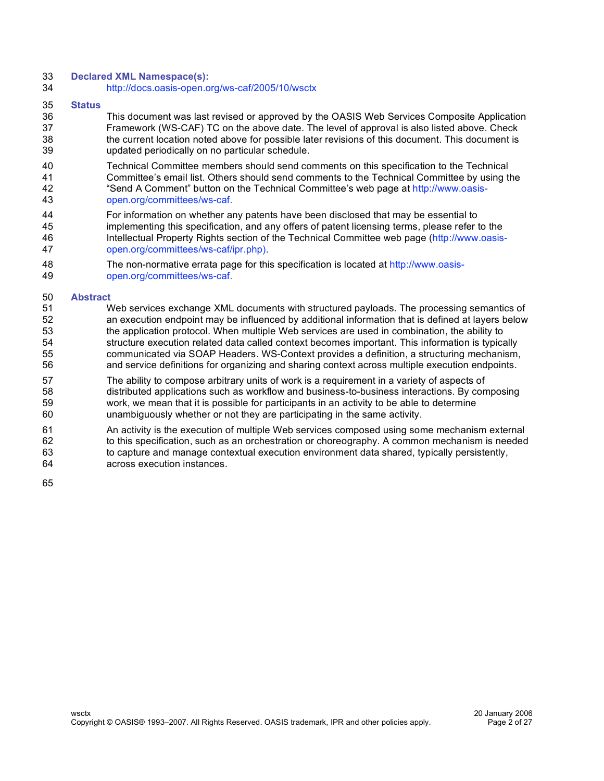#### **Declared XML Namespace(s):**

http://docs.oasis-open.org/ws-caf/2005/10/wsctx

#### **Status**

 This document was last revised or approved by the OASIS Web Services Composite Application Framework (WS-CAF) TC on the above date. The level of approval is also listed above. Check the current location noted above for possible later revisions of this document. This document is updated periodically on no particular schedule.

 Technical Committee members should send comments on this specification to the Technical Committee's email list. Others should send comments to the Technical Committee by using the "Send A Comment" button on the Technical Committee's web page at http://www.oasis-open.org/committees/ws-caf.

- For information on whether any patents have been disclosed that may be essential to implementing this specification, and any offers of patent licensing terms, please refer to the Intellectual Property Rights section of the Technical Committee web page (http://www.oasis-open.org/committees/ws-caf/ipr.php).
- The non-normative errata page for this specification is located at http://www.oasis-open.org/committees/ws-caf.
- **Abstract**

#### Web services exchange XML documents with structured payloads. The processing semantics of an execution endpoint may be influenced by additional information that is defined at layers below the application protocol. When multiple Web services are used in combination, the ability to structure execution related data called context becomes important. This information is typically communicated via SOAP Headers. WS-Context provides a definition, a structuring mechanism, and service definitions for organizing and sharing context across multiple execution endpoints.

- The ability to compose arbitrary units of work is a requirement in a variety of aspects of distributed applications such as workflow and business-to-business interactions. By composing work, we mean that it is possible for participants in an activity to be able to determine unambiguously whether or not they are participating in the same activity.
- An activity is the execution of multiple Web services composed using some mechanism external to this specification, such as an orchestration or choreography. A common mechanism is needed 63 to capture and manage contextual execution environment data shared, typically persistently, across execution instances.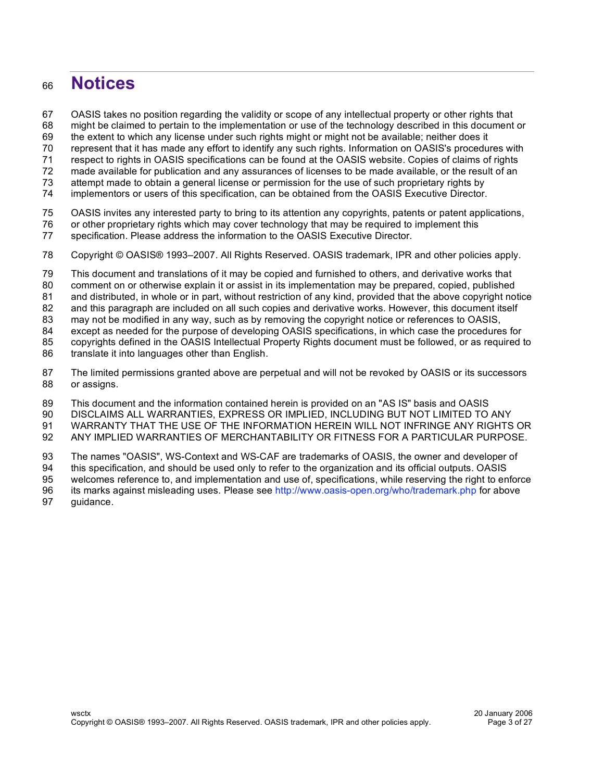### **Notices**

OASIS takes no position regarding the validity or scope of any intellectual property or other rights that

might be claimed to pertain to the implementation or use of the technology described in this document or

the extent to which any license under such rights might or might not be available; neither does it

represent that it has made any effort to identify any such rights. Information on OASIS's procedures with

respect to rights in OASIS specifications can be found at the OASIS website. Copies of claims of rights

made available for publication and any assurances of licenses to be made available, or the result of an

attempt made to obtain a general license or permission for the use of such proprietary rights by

implementors or users of this specification, can be obtained from the OASIS Executive Director.

OASIS invites any interested party to bring to its attention any copyrights, patents or patent applications,

or other proprietary rights which may cover technology that may be required to implement this

specification. Please address the information to the OASIS Executive Director.

Copyright © OASIS® 1993–2007. All Rights Reserved. OASIS trademark, IPR and other policies apply.

This document and translations of it may be copied and furnished to others, and derivative works that

comment on or otherwise explain it or assist in its implementation may be prepared, copied, published

and distributed, in whole or in part, without restriction of any kind, provided that the above copyright notice

82 and this paragraph are included on all such copies and derivative works. However, this document itself

may not be modified in any way, such as by removing the copyright notice or references to OASIS,

except as needed for the purpose of developing OASIS specifications, in which case the procedures for

copyrights defined in the OASIS Intellectual Property Rights document must be followed, or as required to

86 translate it into languages other than English.

 The limited permissions granted above are perpetual and will not be revoked by OASIS or its successors or assigns.

This document and the information contained herein is provided on an "AS IS" basis and OASIS

DISCLAIMS ALL WARRANTIES, EXPRESS OR IMPLIED, INCLUDING BUT NOT LIMITED TO ANY

 WARRANTY THAT THE USE OF THE INFORMATION HEREIN WILL NOT INFRINGE ANY RIGHTS OR ANY IMPLIED WARRANTIES OF MERCHANTABILITY OR FITNESS FOR A PARTICULAR PURPOSE.

 The names "OASIS", WS-Context and WS-CAF are trademarks of OASIS, the owner and developer of this specification, and should be used only to refer to the organization and its official outputs. OASIS

welcomes reference to, and implementation and use of, specifications, while reserving the right to enforce

96 its marks against misleading uses. Please see http://www.oasis-open.org/who/trademark.php for above

guidance.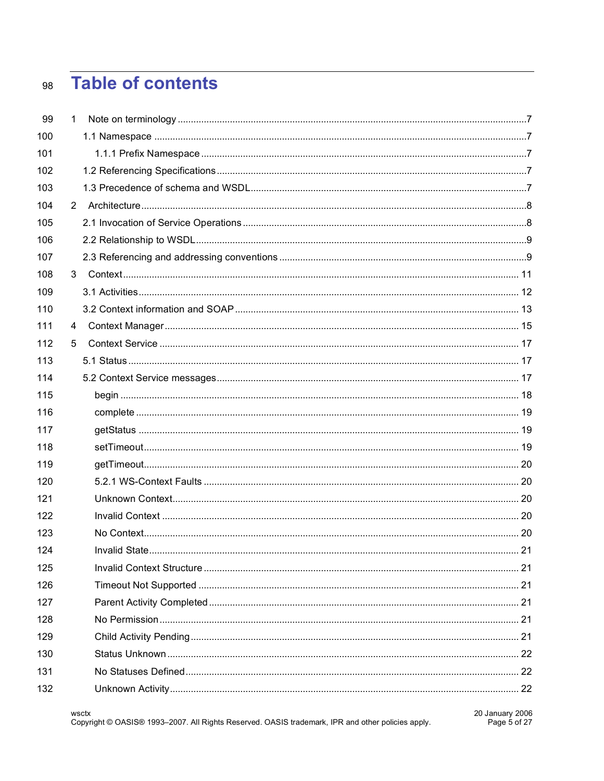#### **Table of contents** 98

| 99  | 1 |  |
|-----|---|--|
| 100 |   |  |
| 101 |   |  |
| 102 |   |  |
| 103 |   |  |
| 104 | 2 |  |
| 105 |   |  |
| 106 |   |  |
| 107 |   |  |
| 108 | 3 |  |
| 109 |   |  |
| 110 |   |  |
| 111 | 4 |  |
| 112 | 5 |  |
| 113 |   |  |
| 114 |   |  |
| 115 |   |  |
| 116 |   |  |
| 117 |   |  |
| 118 |   |  |
| 119 |   |  |
| 120 |   |  |
| 121 |   |  |
| 122 |   |  |
| 123 |   |  |
| 124 |   |  |
| 125 |   |  |
| 126 |   |  |
| 127 |   |  |
| 128 |   |  |
| 129 |   |  |
| 130 |   |  |
| 131 |   |  |
| 132 |   |  |
|     |   |  |

wsctx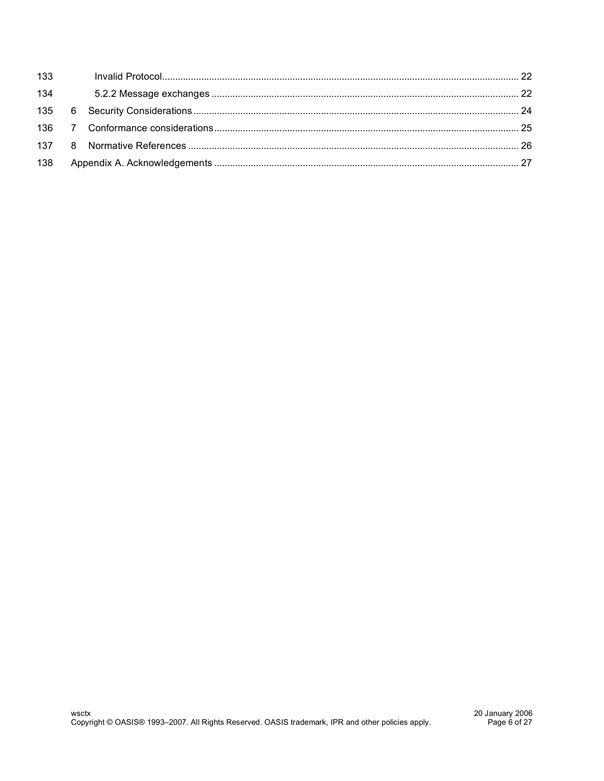| 133 |  |  |
|-----|--|--|
| 134 |  |  |
|     |  |  |
|     |  |  |
|     |  |  |
| 138 |  |  |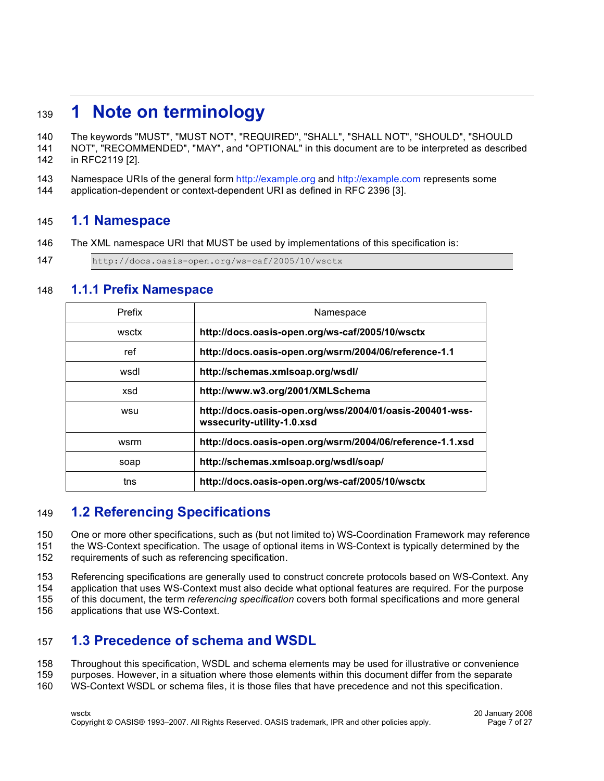### **1 Note on terminology**

The keywords "MUST", "MUST NOT", "REQUIRED", "SHALL", "SHALL NOT", "SHOULD", "SHOULD

- NOT", "RECOMMENDED", "MAY", and "OPTIONAL" in this document are to be interpreted as described in RFC2119 [2].
- Namespace URIs of the general form http://example.org and http://example.com represents some
- application-dependent or context-dependent URI as defined in RFC 2396 [3].

#### **1.1 Namespace**

- The XML namespace URI that MUST be used by implementations of this specification is:
- http://docs.oasis-open.org/ws-caf/2005/10/wsctx

#### **1.1.1 Prefix Namespace**

| Prefix | Namespace                                                                              |
|--------|----------------------------------------------------------------------------------------|
| wsctx  | http://docs.oasis-open.org/ws-caf/2005/10/wsctx                                        |
| ref    | http://docs.oasis-open.org/wsrm/2004/06/reference-1.1                                  |
| wsdl   | http://schemas.xmlsoap.org/wsdl/                                                       |
| xsd    | http://www.w3.org/2001/XMLSchema                                                       |
| wsu    | http://docs.oasis-open.org/wss/2004/01/oasis-200401-wss-<br>wssecurity-utility-1.0.xsd |
| wsrm   | http://docs.oasis-open.org/wsrm/2004/06/reference-1.1.xsd                              |
| soap   | http://schemas.xmlsoap.org/wsdl/soap/                                                  |
| tns    | http://docs.oasis-open.org/ws-caf/2005/10/wsctx                                        |

#### **1.2 Referencing Specifications**

One or more other specifications, such as (but not limited to) WS-Coordination Framework may reference

 the WS-Context specification. The usage of optional items in WS-Context is typically determined by the requirements of such as referencing specification.

Referencing specifications are generally used to construct concrete protocols based on WS-Context. Any

application that uses WS-Context must also decide what optional features are required. For the purpose

of this document, the term *referencing specification* covers both formal specifications and more general

applications that use WS-Context.

#### **1.3 Precedence of schema and WSDL**

- Throughout this specification, WSDL and schema elements may be used for illustrative or convenience
- purposes. However, in a situation where those elements within this document differ from the separate
- WS-Context WSDL or schema files, it is those files that have precedence and not this specification.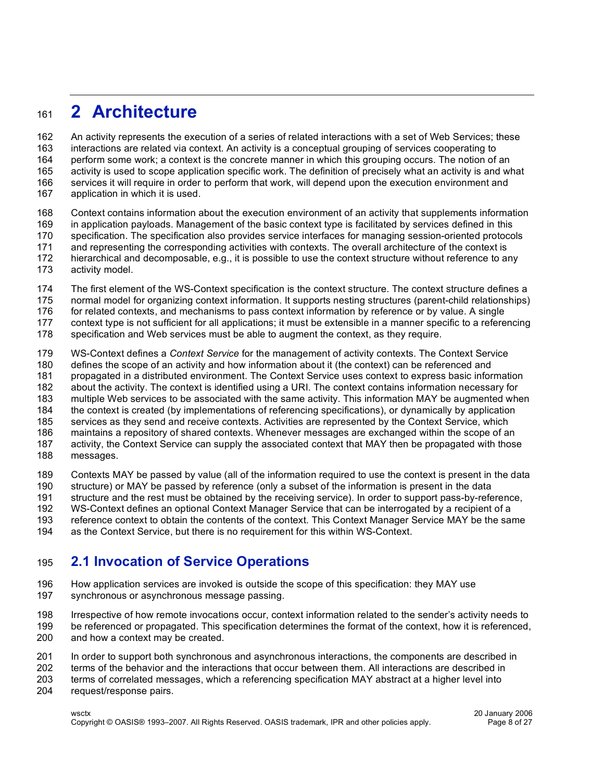### **2 Architecture**

 An activity represents the execution of a series of related interactions with a set of Web Services; these interactions are related via context. An activity is a conceptual grouping of services cooperating to perform some work; a context is the concrete manner in which this grouping occurs. The notion of an activity is used to scope application specific work. The definition of precisely what an activity is and what services it will require in order to perform that work, will depend upon the execution environment and application in which it is used.

- Context contains information about the execution environment of an activity that supplements information in application payloads. Management of the basic context type is facilitated by services defined in this specification. The specification also provides service interfaces for managing session-oriented protocols and representing the corresponding activities with contexts. The overall architecture of the context is hierarchical and decomposable, e.g., it is possible to use the context structure without reference to any
- activity model.
- The first element of the WS-Context specification is the context structure. The context structure defines a
- normal model for organizing context information. It supports nesting structures (parent-child relationships)
- for related contexts, and mechanisms to pass context information by reference or by value. A single
- context type is not sufficient for all applications; it must be extensible in a manner specific to a referencing
- specification and Web services must be able to augment the context, as they require.
- WS-Context defines a *Context Service* for the management of activity contexts. The Context Service
- defines the scope of an activity and how information about it (the context) can be referenced and
- propagated in a distributed environment. The Context Service uses context to express basic information
- about the activity. The context is identified using a URI. The context contains information necessary for
- multiple Web services to be associated with the same activity. This information MAY be augmented when
- the context is created (by implementations of referencing specifications), or dynamically by application
- services as they send and receive contexts. Activities are represented by the Context Service, which
- maintains a repository of shared contexts. Whenever messages are exchanged within the scope of an activity, the Context Service can supply the associated context that MAY then be propagated with those
- 
- messages.

Contexts MAY be passed by value (all of the information required to use the context is present in the data

structure) or MAY be passed by reference (only a subset of the information is present in the data

structure and the rest must be obtained by the receiving service). In order to support pass-by-reference,

WS-Context defines an optional Context Manager Service that can be interrogated by a recipient of a

 reference context to obtain the contents of the context. This Context Manager Service MAY be the same as the Context Service, but there is no requirement for this within WS-Context.

#### **2.1 Invocation of Service Operations**

- How application services are invoked is outside the scope of this specification: they MAY use synchronous or asynchronous message passing.
- Irrespective of how remote invocations occur, context information related to the sender's activity needs to
- be referenced or propagated. This specification determines the format of the context, how it is referenced,
- and how a context may be created.
- In order to support both synchronous and asynchronous interactions, the components are described in
- terms of the behavior and the interactions that occur between them. All interactions are described in
- terms of correlated messages, which a referencing specification MAY abstract at a higher level into
- request/response pairs.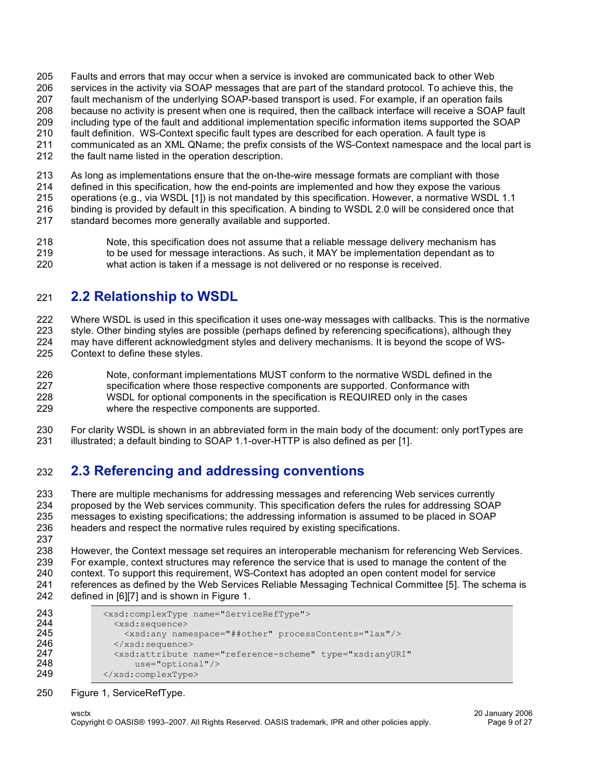- Faults and errors that may occur when a service is invoked are communicated back to other Web services in the activity via SOAP messages that are part of the standard protocol. To achieve this, the fault mechanism of the underlying SOAP-based transport is used. For example, if an operation fails because no activity is present when one is required, then the callback interface will receive a SOAP fault including type of the fault and additional implementation specific information items supported the SOAP fault definition. WS-Context specific fault types are described for each operation. A fault type is communicated as an XML QName; the prefix consists of the WS-Context namespace and the local part is
- the fault name listed in the operation description.

 As long as implementations ensure that the on-the-wire message formats are compliant with those defined in this specification, how the end-points are implemented and how they expose the various operations (e.g., via WSDL [1]) is not mandated by this specification. However, a normative WSDL 1.1 binding is provided by default in this specification. A binding to WSDL 2.0 will be considered once that standard becomes more generally available and supported.

 Note, this specification does not assume that a reliable message delivery mechanism has 219 to be used for message interactions. As such, it MAY be implementation dependant as to what action is taken if a message is not delivered or no response is received.

#### **2.2 Relationship to WSDL**

Where WSDL is used in this specification it uses one-way messages with callbacks. This is the normative

style. Other binding styles are possible (perhaps defined by referencing specifications), although they

- may have different acknowledgment styles and delivery mechanisms. It is beyond the scope of WS-Context to define these styles.
- Note, conformant implementations MUST conform to the normative WSDL defined in the specification where those respective components are supported. Conformance with WSDL for optional components in the specification is REQUIRED only in the cases where the respective components are supported.
- For clarity WSDL is shown in an abbreviated form in the main body of the document: only portTypes are illustrated; a default binding to SOAP 1.1-over-HTTP is also defined as per [1].

### **2.3 Referencing and addressing conventions**

 There are multiple mechanisms for addressing messages and referencing Web services currently proposed by the Web services community. This specification defers the rules for addressing SOAP messages to existing specifications; the addressing information is assumed to be placed in SOAP headers and respect the normative rules required by existing specifications. 

 However, the Context message set requires an interoperable mechanism for referencing Web Services. For example, context structures may reference the service that is used to manage the content of the context. To support this requirement, WS-Context has adopted an open content model for service references as defined by the Web Services Reliable Messaging Technical Committee [5]. The schema is defined in [6][7] and is shown in Figure 1.

```
243 <xsd:complexType name="ServiceRefType"><br>244 <xsd:sequence>
244 <xsd:sequence>
245 <xsd:any namespace="##other" processContents="lax"/><br>246 </xsd:sequence>
246 </xsd:sequence><br>247 <xsd:attribute
247 \leq xsd:attribute name="reference-scheme" type="xsd:anyURI"<br>248 use="optional"/>
248 use="optional"/><br>249 </xsd:complexType>
              249 </xsd:complexType>
```
#### Figure 1, ServiceRefType.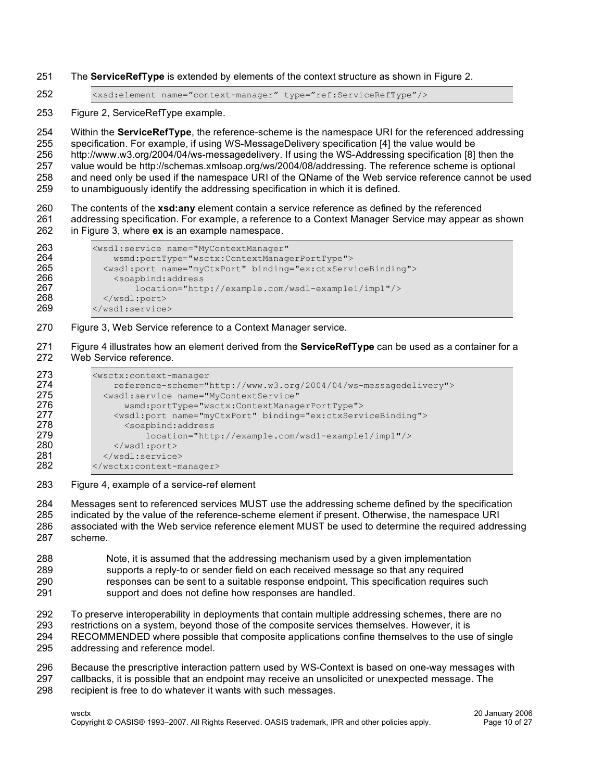- The **ServiceRefType** is extended by elements of the context structure as shown in Figure 2.
- <xsd:element name="context-manager" type="ref:ServiceRefType"/>

Figure 2, ServiceRefType example.

 Within the **ServiceRefType**, the reference-scheme is the namespace URI for the referenced addressing specification. For example, if using WS-MessageDelivery specification [4] the value would be http://www.w3.org/2004/04/ws-messagedelivery. If using the WS-Addressing specification [8] then the value would be http://schemas.xmlsoap.org/ws/2004/08/addressing. The reference scheme is optional and need only be used if the namespace URI of the QName of the Web service reference cannot be used to unambiguously identify the addressing specification in which it is defined.

 The contents of the **xsd:any** element contain a service reference as defined by the referenced addressing specification. For example, a reference to a Context Manager Service may appear as shown in Figure 3, where **ex** is an example namespace.

```
263 <wsdl:service name="MyContextManager"<br>264 wsmd:portType="wsctx:ContextManage
264 wsmd:portType="wsctx:ContextManagerPortType">
265 <wsdl:port name="myCtxPort" binding="ex:ctxServiceBinding">
266 <soapbind:address<br>267 1ocation="htt
267 location="http://example.com/wsdl-example1/impl"/><br>268 </wsdl:port>
268 </wsdl:port><br>269 </wsdl:service
            </wsdl:service>
```
Figure 3, Web Service reference to a Context Manager service.

 Figure 4 illustrates how an element derived from the **ServiceRefType** can be used as a container for a Web Service reference.

```
273 <wsctx:context-manager<br>274 reference-scheme="
274 reference-scheme="http://www.w3.org/2004/04/ws-messagedelivery"><br>275 <wsdl:service name="MyContextService"
275 <wsdl:service name="MyContextService"<br>276 wsmd:portType="wsctx:ContextManag
276 wsmd:portType="wsctx:ContextManagerPortType">
277 <wsdl:port name="myCtxPort" binding="ex:ctxServiceBinding"><br>278 < soapbind:address
278 <soapbind:address
279 location="http://example.com/wsdl-example1/impl"/><br>280 </wsdl:port>
280 </wsdl:port><br>281 </wsdl:service>
281 </wsdl:service><br>282 </wsctx:context-m
             </wsctx:context-manager>
```
Figure 4, example of a service-ref element

 Messages sent to referenced services MUST use the addressing scheme defined by the specification indicated by the value of the reference-scheme element if present. Otherwise, the namespace URI associated with the Web service reference element MUST be used to determine the required addressing scheme.

- Note, it is assumed that the addressing mechanism used by a given implementation supports a reply-to or sender field on each received message so that any required responses can be sent to a suitable response endpoint. This specification requires such support and does not define how responses are handled.
- To preserve interoperability in deployments that contain multiple addressing schemes, there are no
- restrictions on a system, beyond those of the composite services themselves. However, it is
- RECOMMENDED where possible that composite applications confine themselves to the use of single addressing and reference model.
- 
- 296 Because the prescriptive interaction pattern used by WS-Context is based on one-way messages with 297 callbacks, it is possible that an endpoint may receive an unsolicited or unexpected message. The callbacks, it is possible that an endpoint may receive an unsolicited or unexpected message. The
- recipient is free to do whatever it wants with such messages.

wsctx 20 January 2006 Copyright © OASIS® 1993–2007. All Rights Reserved. OASIS trademark, IPR and other policies apply. Page 10 of 27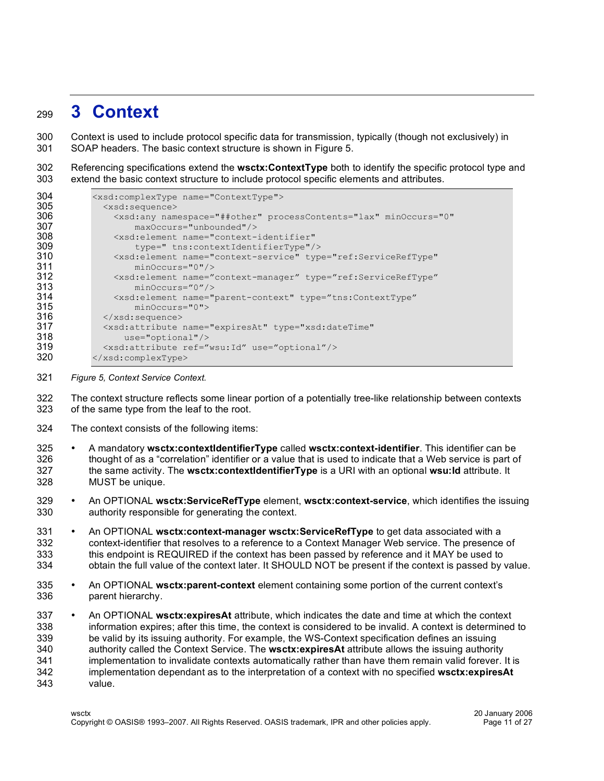### **3 Context**

 Context is used to include protocol specific data for transmission, typically (though not exclusively) in SOAP headers. The basic context structure is shown in Figure 5.

 Referencing specifications extend the **wsctx:ContextType** both to identify the specific protocol type and extend the basic context structure to include protocol specific elements and attributes.

| 304 | <xsd:complextype name="ContextType"></xsd:complextype>                                  |
|-----|-----------------------------------------------------------------------------------------|
| 305 | <xsd:sequence></xsd:sequence>                                                           |
| 306 | <xsd:any <="" minoccurs="0" namespace="##other" processcontents="lax" th=""></xsd:any>  |
| 307 | $maxOccurs="unbounded"$                                                                 |
| 308 | <xsd:element <="" name="context-identifier" th=""></xsd:element>                        |
| 309 | type=" tns:contextIdentifierType"/>                                                     |
| 310 | <xsd:element <="" name="context-service" th="" type="ref:ServiceRefType"></xsd:element> |
| 311 | $minOccurs="0"$ />                                                                      |
| 312 | <xsd:element <="" name="context-manager" th="" type="ref:ServiceRefType"></xsd:element> |
| 313 | $minOccurs="0"$ />                                                                      |
| 314 | <xsd:element <="" name="parent-context" th="" type="tns:ContextType"></xsd:element>     |
| 315 | $minOccurs = "0"$                                                                       |
| 316 | $\langle xsd:sequence \rangle$                                                          |
| 317 | <xsd:attribute <="" name="expiresAt" th="" type="xsd:dateTime"></xsd:attribute>         |
| 318 | $use="optional"/>$                                                                      |
| 319 | <xsd:attribute ref="wsu:Id" use="optional"></xsd:attribute>                             |
| 320 | $\langle xsd:complexType \rangle$                                                       |

*Figure 5, Context Service Context.*

 The context structure reflects some linear portion of a potentially tree-like relationship between contexts of the same type from the leaf to the root.

- The context consists of the following items:
- A mandatory **wsctx:contextIdentifierType** called **wsctx:context-identifier**. This identifier can be thought of as a "correlation" identifier or a value that is used to indicate that a Web service is part of the same activity. The **wsctx:contextIdentifierType** is a URI with an optional **wsu:Id** attribute. It MUST be unique.
- An OPTIONAL **wsctx:ServiceRefType** element, **wsctx:context-service**, which identifies the issuing authority responsible for generating the context.
- An OPTIONAL **wsctx:context-manager wsctx:ServiceRefType** to get data associated with a context-identifier that resolves to a reference to a Context Manager Web service. The presence of this endpoint is REQUIRED if the context has been passed by reference and it MAY be used to obtain the full value of the context later. It SHOULD NOT be present if the context is passed by value.
- An OPTIONAL **wsctx:parent-context** element containing some portion of the current context's parent hierarchy.
- An OPTIONAL **wsctx:expiresAt** attribute, which indicates the date and time at which the context information expires; after this time, the context is considered to be invalid. A context is determined to be valid by its issuing authority. For example, the WS-Context specification defines an issuing authority called the Context Service. The **wsctx:expiresAt** attribute allows the issuing authority implementation to invalidate contexts automatically rather than have them remain valid forever. It is implementation dependant as to the interpretation of a context with no specified **wsctx:expiresAt** value.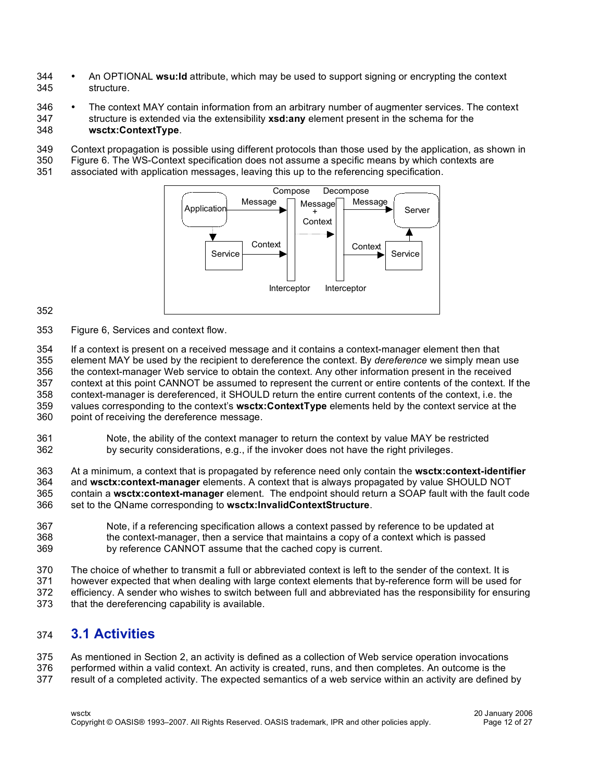- An OPTIONAL **wsu:Id** attribute, which may be used to support signing or encrypting the context structure.
- <sup>346</sup> The context MAY contain information from an arbitrary number of augmenter services. The context 347<br>347 structure is extended via the extensibility **xsd:any** element present in the schema for the structure is extended via the extensibility **xsd:any** element present in the schema for the **wsctx:ContextType**.
- Context propagation is possible using different protocols than those used by the application, as shown in
- Figure 6. The WS-Context specification does not assume a specific means by which contexts are
- associated with application messages, leaving this up to the referencing specification.



Figure 6, Services and context flow.

If a context is present on a received message and it contains a context-manager element then that

 element MAY be used by the recipient to dereference the context. By *dereference* we simply mean use the context-manager Web service to obtain the context. Any other information present in the received

context at this point CANNOT be assumed to represent the current or entire contents of the context. If the

 context-manager is dereferenced, it SHOULD return the entire current contents of the context, i.e. the values corresponding to the context's **wsctx:ContextType** elements held by the context service at the

point of receiving the dereference message.

 Note, the ability of the context manager to return the context by value MAY be restricted by security considerations, e.g., if the invoker does not have the right privileges.

 At a minimum, a context that is propagated by reference need only contain the **wsctx:context-identifier** and **wsctx:context-manager** elements. A context that is always propagated by value SHOULD NOT contain a **wsctx:context-manager** element. The endpoint should return a SOAP fault with the fault code set to the QName corresponding to **wsctx:InvalidContextStructure**.

- Note, if a referencing specification allows a context passed by reference to be updated at the context-manager, then a service that maintains a copy of a context which is passed by reference CANNOT assume that the cached copy is current.
- The choice of whether to transmit a full or abbreviated context is left to the sender of the context. It is
- however expected that when dealing with large context elements that by-reference form will be used for
- efficiency. A sender who wishes to switch between full and abbreviated has the responsibility for ensuring
- that the dereferencing capability is available.

#### **3.1 Activities**

 As mentioned in Section 2, an activity is defined as a collection of Web service operation invocations performed within a valid context. An activity is created, runs, and then completes. An outcome is the result of a completed activity. The expected semantics of a web service within an activity are defined by

wsctx 20 January 2006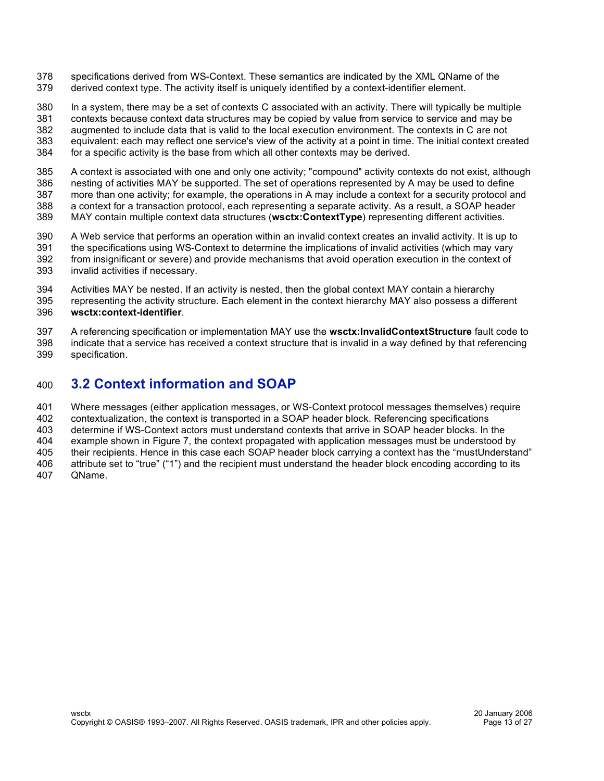- specifications derived from WS-Context. These semantics are indicated by the XML QName of the derived context type. The activity itself is uniquely identified by a context-identifier element.
- In a system, there may be a set of contexts C associated with an activity. There will typically be multiple contexts because context data structures may be copied by value from service to service and may be augmented to include data that is valid to the local execution environment. The contexts in C are not equivalent: each may reflect one service's view of the activity at a point in time. The initial context created
- for a specific activity is the base from which all other contexts may be derived.
- A context is associated with one and only one activity; "compound" activity contexts do not exist, although nesting of activities MAY be supported. The set of operations represented by A may be used to define more than one activity; for example, the operations in A may include a context for a security protocol and a context for a transaction protocol, each representing a separate activity. As a result, a SOAP header
- MAY contain multiple context data structures (**wsctx:ContextType**) representing different activities.
- A Web service that performs an operation within an invalid context creates an invalid activity. It is up to the specifications using WS-Context to determine the implications of invalid activities (which may vary from insignificant or severe) and provide mechanisms that avoid operation execution in the context of invalid activities if necessary.
- Activities MAY be nested. If an activity is nested, then the global context MAY contain a hierarchy
- representing the activity structure. Each element in the context hierarchy MAY also possess a different **wsctx:context-identifier**.
- A referencing specification or implementation MAY use the **wsctx:InvalidContextStructure** fault code to indicate that a service has received a context structure that is invalid in a way defined by that referencing specification.

#### **3.2 Context information and SOAP**

 Where messages (either application messages, or WS-Context protocol messages themselves) require contextualization, the context is transported in a SOAP header block. Referencing specifications determine if WS-Context actors must understand contexts that arrive in SOAP header blocks. In the example shown in Figure 7, the context propagated with application messages must be understood by their recipients. Hence in this case each SOAP header block carrying a context has the "mustUnderstand" attribute set to "true" ("1") and the recipient must understand the header block encoding according to its QName.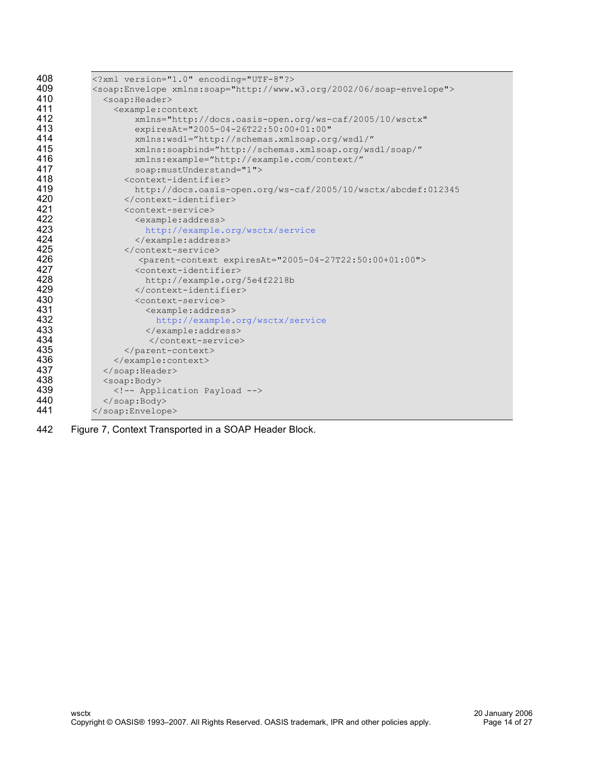| 408 | xml version="1.0" encoding="UTF-8"?                                                  |
|-----|--------------------------------------------------------------------------------------|
| 409 | <soap:envelope xmlns:soap="http://www.w3.org/2002/06/soap-envelope"></soap:envelope> |
| 410 | <soap:header></soap:header>                                                          |
| 411 | <example:context< th=""></example:context<>                                          |
| 412 | xmlns="http://docs.oasis-open.org/ws-caf/2005/10/wsctx"                              |
| 413 | expiresAt="2005-04-26T22:50:00+01:00"                                                |
| 414 | xmlns:wsdl="http://schemas.xmlsoap.org/wsdl/"                                        |
| 415 | xmlns:soapbind="http://schemas.xmlsoap.org/wsdl/soap/"                               |
| 416 | xmlns:example="http://example.com/context/"                                          |
| 417 | soap:mustUnderstand="1">                                                             |
| 418 | <context-identifier></context-identifier>                                            |
| 419 | http://docs.oasis-open.org/ws-caf/2005/10/wsctx/abcdef:012345                        |
| 420 |                                                                                      |
| 421 | <context-service></context-service>                                                  |
| 422 | <example:address></example:address>                                                  |
| 423 | http://example.org/wsctx/service                                                     |
| 424 |                                                                                      |
| 425 |                                                                                      |
| 426 | <parent-context expiresat="2005-04-27T22:50:00+01:00"></parent-context>              |
| 427 | <context-identifier></context-identifier>                                            |
| 428 | http://example.org/5e4f2218b                                                         |
| 429 |                                                                                      |
| 430 | <context-service></context-service>                                                  |
| 431 | <example:address></example:address>                                                  |
| 432 | http://example.org/wsctx/service                                                     |
| 433 |                                                                                      |
| 434 |                                                                                      |
| 435 |                                                                                      |
| 436 |                                                                                      |
| 437 |                                                                                      |
| 438 | <soap:body></soap:body>                                                              |
| 439 | Application Payload                                                                  |
| 440 |                                                                                      |
| 441 |                                                                                      |

Figure 7, Context Transported in a SOAP Header Block.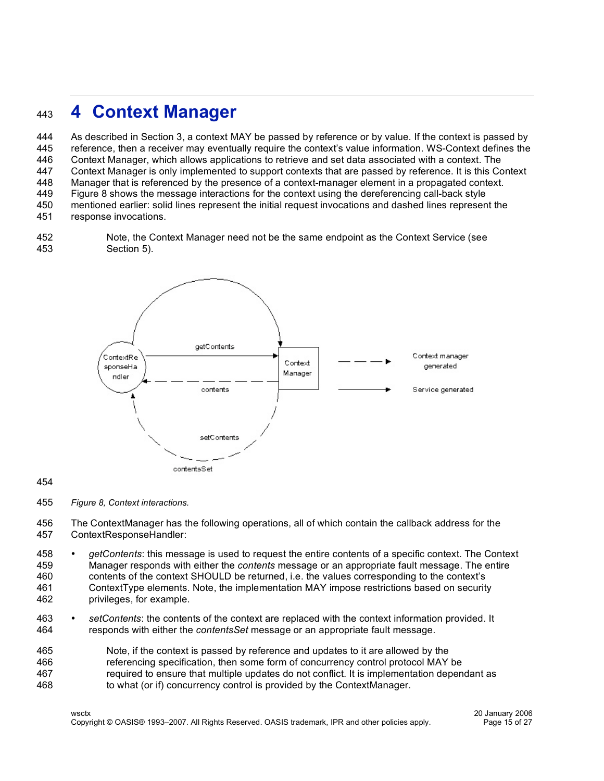### **4 Context Manager**

 As described in Section 3, a context MAY be passed by reference or by value. If the context is passed by reference, then a receiver may eventually require the context's value information. WS-Context defines the Context Manager, which allows applications to retrieve and set data associated with a context. The Context Manager is only implemented to support contexts that are passed by reference. It is this Context Manager that is referenced by the presence of a context-manager element in a propagated context. Figure 8 shows the message interactions for the context using the dereferencing call-back style mentioned earlier: solid lines represent the initial request invocations and dashed lines represent the response invocations.

 Note, the Context Manager need not be the same endpoint as the Context Service (see Section 5).



#### 

*Figure 8, Context interactions.*

 The ContextManager has the following operations, all of which contain the callback address for the ContextResponseHandler:

- *getContents*: this message is used to request the entire contents of a specific context. The Context Manager responds with either the *contents* message or an appropriate fault message. The entire contents of the context SHOULD be returned, i.e. the values corresponding to the context's ContextType elements. Note, the implementation MAY impose restrictions based on security privileges, for example.
- *setContents*: the contents of the context are replaced with the context information provided. It responds with either the *contentsSet* message or an appropriate fault message.
- Note, if the context is passed by reference and updates to it are allowed by the referencing specification, then some form of concurrency control protocol MAY be required to ensure that multiple updates do not conflict. It is implementation dependant as to what (or if) concurrency control is provided by the ContextManager.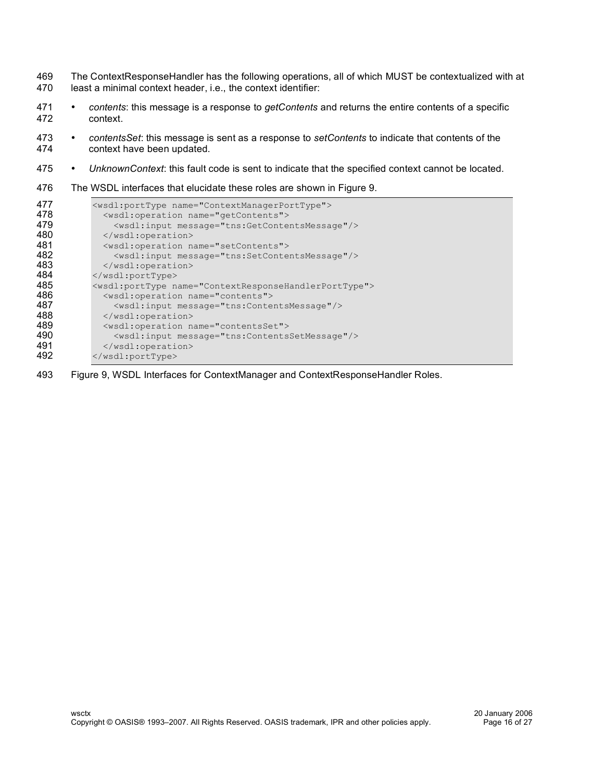- 469 The ContextResponseHandler has the following operations, all of which MUST be contextualized with at 470 least a minimal context header, i.e., the context identifier:
- 471 *contents*: this message is a response to *getContents* and returns the entire contents of a specific context.
- 473 *contentsSet*: this message is sent as a response to *setContents* to indicate that contents of the context have been updated.
- 475 *UnknownContext*: this fault code is sent to indicate that the specified context cannot be located.
- 476 The WSDL interfaces that elucidate these roles are shown in Figure 9.

| <wsdl:porttype name="ContextManagerPortType"><br/><wsdl:operation name="getContents"></wsdl:operation></wsdl:porttype> |
|------------------------------------------------------------------------------------------------------------------------|
| <wsdl:input message="tns:GetContentsMessage"></wsdl:input>                                                             |
|                                                                                                                        |
| <wsdl:operation name="setContents"></wsdl:operation>                                                                   |
| <wsdl:input message="tns:SetContentsMessage"></wsdl:input>                                                             |
|                                                                                                                        |
|                                                                                                                        |
| <wsdl:porttype name="ContextResponseHandlerPortType"></wsdl:porttype>                                                  |
| <wsdl:operation name="contents"></wsdl:operation>                                                                      |
| <wsdl:input message="tns:ContentsMessage"></wsdl:input>                                                                |
|                                                                                                                        |
| <wsdl:operation name="contentsSet"></wsdl:operation>                                                                   |
| <wsdl:input message="tns:ContentsSetMessage"></wsdl:input>                                                             |
|                                                                                                                        |
|                                                                                                                        |
|                                                                                                                        |

493 Figure 9, WSDL Interfaces for ContextManager and ContextResponseHandler Roles.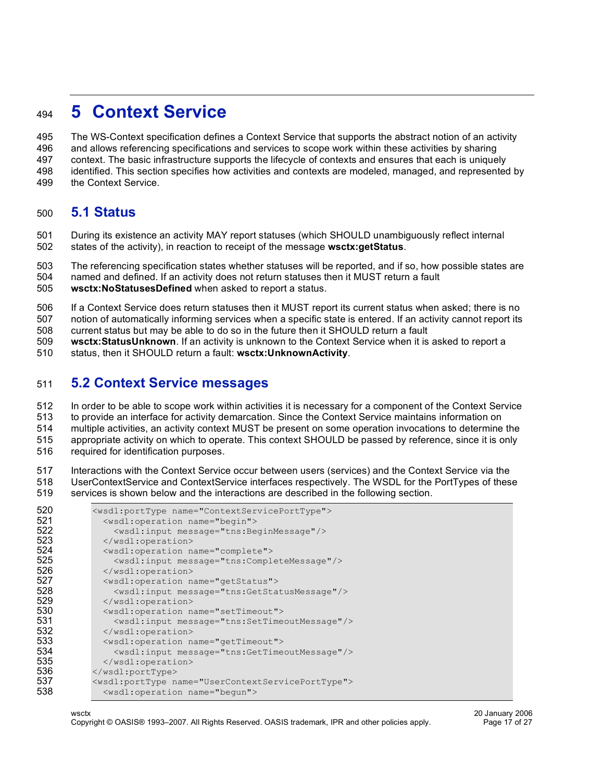### **5 Context Service**

 The WS-Context specification defines a Context Service that supports the abstract notion of an activity and allows referencing specifications and services to scope work within these activities by sharing context. The basic infrastructure supports the lifecycle of contexts and ensures that each is uniquely identified. This section specifies how activities and contexts are modeled, managed, and represented by

the Context Service.

#### **5.1 Status**

 During its existence an activity MAY report statuses (which SHOULD unambiguously reflect internal states of the activity), in reaction to receipt of the message **wsctx:getStatus**.

The referencing specification states whether statuses will be reported, and if so, how possible states are

named and defined. If an activity does not return statuses then it MUST return a fault

**wsctx:NoStatusesDefined** when asked to report a status.

If a Context Service does return statuses then it MUST report its current status when asked; there is no

notion of automatically informing services when a specific state is entered. If an activity cannot report its

current status but may be able to do so in the future then it SHOULD return a fault

**wsctx:StatusUnknown**. If an activity is unknown to the Context Service when it is asked to report a

status, then it SHOULD return a fault: **wsctx:UnknownActivity**.

#### **5.2 Context Service messages**

 In order to be able to scope work within activities it is necessary for a component of the Context Service to provide an interface for activity demarcation. Since the Context Service maintains information on

multiple activities, an activity context MUST be present on some operation invocations to determine the

appropriate activity on which to operate. This context SHOULD be passed by reference, since it is only

required for identification purposes.

 Interactions with the Context Service occur between users (services) and the Context Service via the UserContextService and ContextService interfaces respectively. The WSDL for the PortTypes of these services is shown below and the interactions are described in the following section.

| 520 | <wsdl:porttype name="ContextServicePortType"></wsdl:porttype>     |
|-----|-------------------------------------------------------------------|
| 521 | <wsdl:operation name="begin"></wsdl:operation>                    |
| 522 | <wsdl:input message="tns:BeginMessage"></wsdl:input>              |
| 523 |                                                                   |
| 524 | <wsdl:operation name="complete"></wsdl:operation>                 |
| 525 | <wsdl:input message="tns:CompleteMessage"></wsdl:input>           |
| 526 |                                                                   |
| 527 | <wsdl:operation name="getStatus"></wsdl:operation>                |
| 528 | <wsdl:input message="tns:GetStatusMessage"></wsdl:input>          |
| 529 |                                                                   |
| 530 | <wsdl:operation name="setTimeout"></wsdl:operation>               |
| 531 | <wsdl:input message="tns:SetTimeoutMessage"></wsdl:input>         |
| 532 |                                                                   |
| 533 | <wsdl:operation name="getTimeout"></wsdl:operation>               |
| 534 | <wsdl:input message="tns:GetTimeoutMessage"></wsdl:input>         |
| 535 |                                                                   |
| 536 |                                                                   |
| 537 | <wsdl:porttype name="UserContextServicePortType"></wsdl:porttype> |
| 538 | <wsdl:operation name="begun"></wsdl:operation>                    |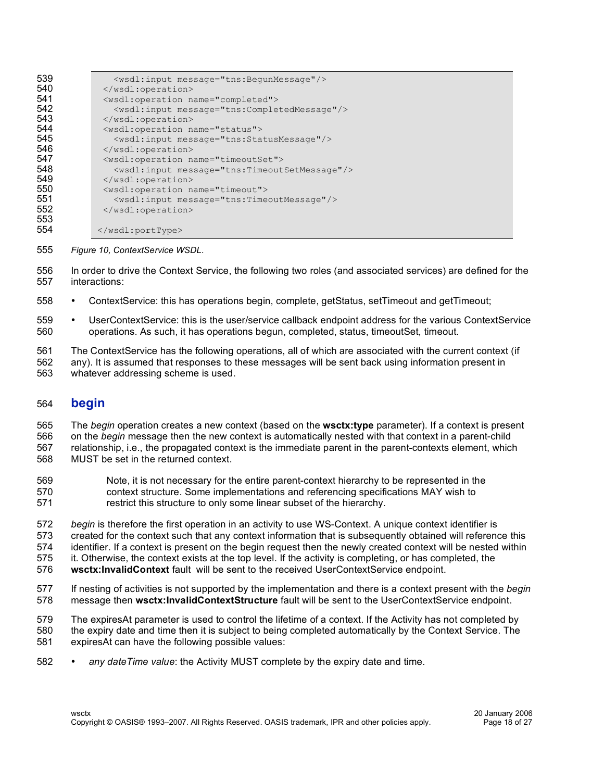| 539 | <wsdl:input message="tns:BegunMessage"></wsdl:input>      |
|-----|-----------------------------------------------------------|
| 540 |                                                           |
| 541 | <wsdl:operation name="completed"></wsdl:operation>        |
| 542 | <wsdl:input message="tns:CompletedMessage"></wsdl:input>  |
| 543 |                                                           |
| 544 | <wsdl:operation name="status"></wsdl:operation>           |
| 545 | <wsdl:input message="tns:StatusMessage"></wsdl:input>     |
| 546 |                                                           |
| 547 | <wsdl:operation name="timeoutSet"></wsdl:operation>       |
| 548 | <wsdl:input message="tns:TimeoutSetMessage"></wsdl:input> |
| 549 |                                                           |
| 550 | <wsdl:operation name="timeout"></wsdl:operation>          |
| 551 | <wsdl:input message="tns:TimeoutMessage"></wsdl:input>    |
| 552 |                                                           |
| 553 |                                                           |
| 554 |                                                           |

- *Figure 10, ContextService WSDL.*
- In order to drive the Context Service, the following two roles (and associated services) are defined for the interactions:
- ContextService: this has operations begin, complete, getStatus, setTimeout and getTimeout;
- 559 UserContextService: this is the user/service callback endpoint address for the various ContextService<br>560 operations. As such, it has operations begun, completed, status, timeoutSet, timeout. operations. As such, it has operations begun, completed, status, timeoutSet, timeout.
- The ContextService has the following operations, all of which are associated with the current context (if any). It is assumed that responses to these messages will be sent back using information present in
- whatever addressing scheme is used.

#### **begin**

 The *begin* operation creates a new context (based on the **wsctx:type** parameter). If a context is present on the *begin* message then the new context is automatically nested with that context in a parent-child relationship, i.e., the propagated context is the immediate parent in the parent-contexts element, which MUST be set in the returned context.

- Note, it is not necessary for the entire parent-context hierarchy to be represented in the context structure. Some implementations and referencing specifications MAY wish to restrict this structure to only some linear subset of the hierarchy.
- *begin* is therefore the first operation in an activity to use WS-Context. A unique context identifier is created for the context such that any context information that is subsequently obtained will reference this identifier. If a context is present on the begin request then the newly created context will be nested within it. Otherwise, the context exists at the top level. If the activity is completing, or has completed, the
- **wsctx:InvalidContext** fault will be sent to the received UserContextService endpoint.
- If nesting of activities is not supported by the implementation and there is a context present with the *begin* message then **wsctx:InvalidContextStructure** fault will be sent to the UserContextService endpoint.
- The expiresAt parameter is used to control the lifetime of a context. If the Activity has not completed by
- the expiry date and time then it is subject to being completed automatically by the Context Service. The
- expiresAt can have the following possible values:
- *any dateTime value*: the Activity MUST complete by the expiry date and time.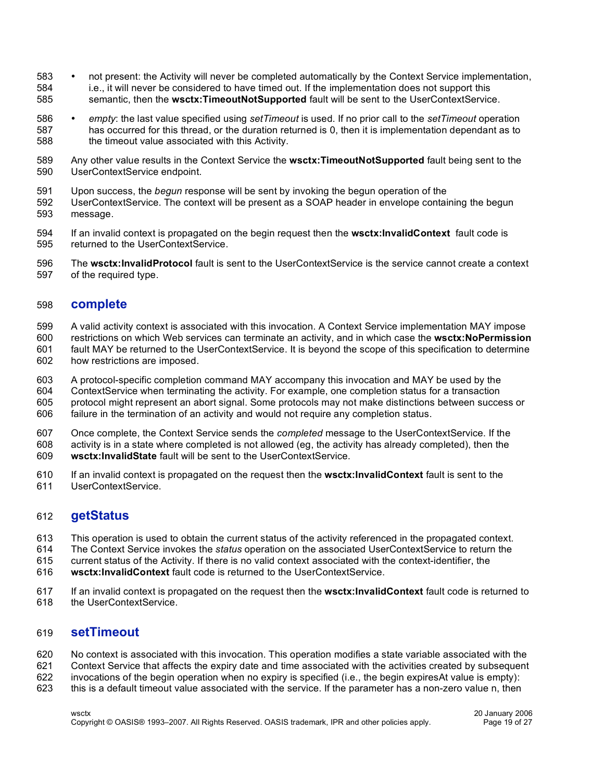- not present: the Activity will never be completed automatically by the Context Service implementation, i.e., it will never be considered to have timed out. If the implementation does not support this semantic, then the **wsctx:TimeoutNotSupported** fault will be sent to the UserContextService.
- *empty*: the last value specified using *setTimeout* is used. If no prior call to the *setTimeout* operation has occurred for this thread, or the duration returned is 0, then it is implementation dependant as to the timeout value associated with this Activity.
- Any other value results in the Context Service the **wsctx:TimeoutNotSupported** fault being sent to the UserContextService endpoint.
- Upon success, the *begun* response will be sent by invoking the begun operation of the
- UserContextService. The context will be present as a SOAP header in envelope containing the begun message.
- If an invalid context is propagated on the begin request then the **wsctx:InvalidContext** fault code is returned to the UserContextService.
- The **wsctx:InvalidProtocol** fault is sent to the UserContextService is the service cannot create a context of the required type.

#### **complete**

- A valid activity context is associated with this invocation. A Context Service implementation MAY impose
- restrictions on which Web services can terminate an activity, and in which case the **wsctx:NoPermission** fault MAY be returned to the UserContextService. It is beyond the scope of this specification to determine
- how restrictions are imposed.
- A protocol-specific completion command MAY accompany this invocation and MAY be used by the ContextService when terminating the activity. For example, one completion status for a transaction protocol might represent an abort signal. Some protocols may not make distinctions between success or failure in the termination of an activity and would not require any completion status.
- Once complete, the Context Service sends the *completed* message to the UserContextService. If the activity is in a state where completed is not allowed (eg, the activity has already completed), then the **wsctx:InvalidState** fault will be sent to the UserContextService.
- If an invalid context is propagated on the request then the **wsctx:InvalidContext** fault is sent to the UserContextService.

#### **getStatus**

- This operation is used to obtain the current status of the activity referenced in the propagated context.
- The Context Service invokes the *status* operation on the associated UserContextService to return the
- current status of the Activity. If there is no valid context associated with the context-identifier, the
- **wsctx:InvalidContext** fault code is returned to the UserContextService.
- If an invalid context is propagated on the request then the **wsctx:InvalidContext** fault code is returned to the UserContextService.

#### **setTimeout**

- No context is associated with this invocation. This operation modifies a state variable associated with the
- Context Service that affects the expiry date and time associated with the activities created by subsequent
- invocations of the begin operation when no expiry is specified (i.e., the begin expiresAt value is empty):
- this is a default timeout value associated with the service. If the parameter has a non-zero value n, then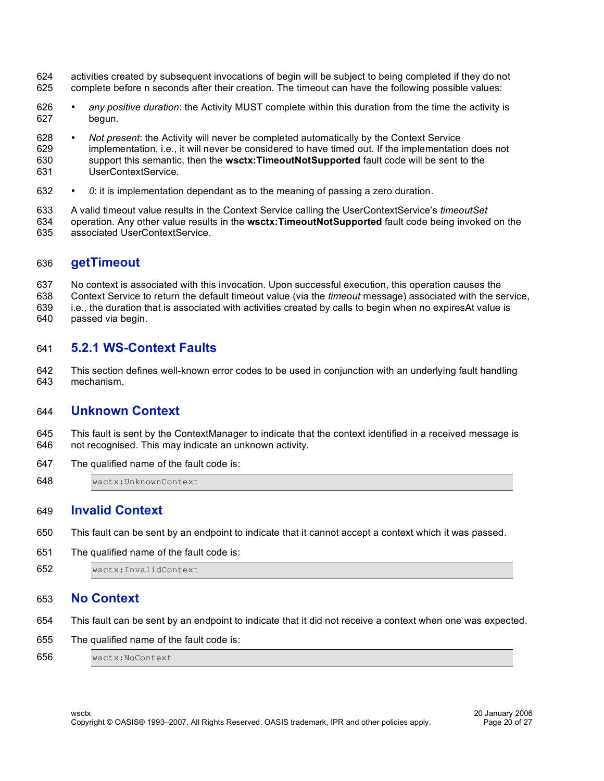- activities created by subsequent invocations of begin will be subject to being completed if they do not complete before n seconds after their creation. The timeout can have the following possible values:
- *any positive duration*: the Activity MUST complete within this duration from the time the activity is begun.
- *Not present*: the Activity will never be completed automatically by the Context Service implementation, i.e., it will never be considered to have timed out. If the implementation does not support this semantic, then the **wsctx:TimeoutNotSupported** fault code will be sent to the UserContextService.
- *0*: it is implementation dependant as to the meaning of passing a zero duration.
- A valid timeout value results in the Context Service calling the UserContextService's *timeoutSet* operation. Any other value results in the **wsctx:TimeoutNotSupported** fault code being invoked on the associated UserContextService.

#### **getTimeout**

 No context is associated with this invocation. Upon successful execution, this operation causes the Context Service to return the default timeout value (via the *timeout* message) associated with the service, i.e., the duration that is associated with activities created by calls to begin when no expiresAt value is passed via begin.

#### **5.2.1 WS-Context Faults**

 This section defines well-known error codes to be used in conjunction with an underlying fault handling mechanism.

#### **Unknown Context**

- This fault is sent by the ContextManager to indicate that the context identified in a received message is not recognised. This may indicate an unknown activity.
- The qualified name of the fault code is:
- wsctx:UnknownContext

#### **Invalid Context**

- This fault can be sent by an endpoint to indicate that it cannot accept a context which it was passed.
- The qualified name of the fault code is:
- wsctx:InvalidContext

#### **No Context**

- This fault can be sent by an endpoint to indicate that it did not receive a context when one was expected.
- The qualified name of the fault code is:
- wsctx:NoContext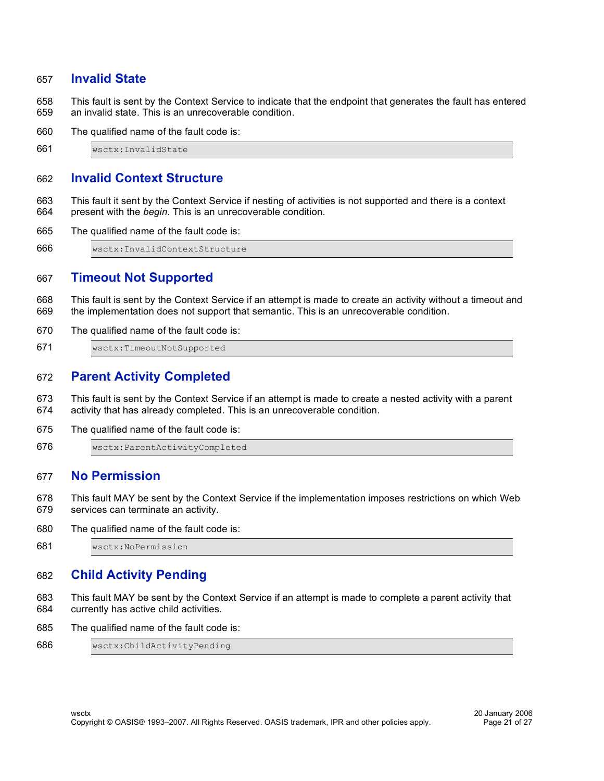#### **Invalid State**

 This fault is sent by the Context Service to indicate that the endpoint that generates the fault has entered an invalid state. This is an unrecoverable condition.

The qualified name of the fault code is:

wsctx:InvalidState

#### **Invalid Context Structure**

- This fault it sent by the Context Service if nesting of activities is not supported and there is a context present with the *begin*. This is an unrecoverable condition.
- The qualified name of the fault code is:

wsctx:InvalidContextStructure

#### **Timeout Not Supported**

 This fault is sent by the Context Service if an attempt is made to create an activity without a timeout and the implementation does not support that semantic. This is an unrecoverable condition.

- The qualified name of the fault code is:
- wsctx:TimeoutNotSupported

#### **Parent Activity Completed**

- This fault is sent by the Context Service if an attempt is made to create a nested activity with a parent activity that has already completed. This is an unrecoverable condition.
- The qualified name of the fault code is:

wsctx:ParentActivityCompleted

#### **No Permission**

- This fault MAY be sent by the Context Service if the implementation imposes restrictions on which Web services can terminate an activity.
- The qualified name of the fault code is:

wsctx:NoPermission

#### **Child Activity Pending**

- This fault MAY be sent by the Context Service if an attempt is made to complete a parent activity that currently has active child activities.
- The qualified name of the fault code is:

```
686 wsctx:ChildActivityPending
```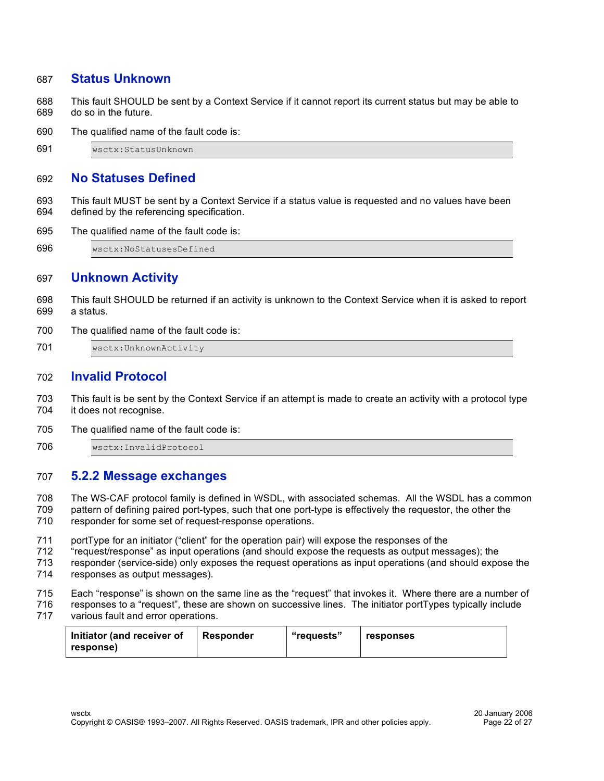#### **Status Unknown**

 This fault SHOULD be sent by a Context Service if it cannot report its current status but may be able to do so in the future.

The qualified name of the fault code is:

wsctx:StatusUnknown

#### **No Statuses Defined**

 This fault MUST be sent by a Context Service if a status value is requested and no values have been defined by the referencing specification.

The qualified name of the fault code is:

wsctx:NoStatusesDefined

#### **Unknown Activity**

 This fault SHOULD be returned if an activity is unknown to the Context Service when it is asked to report a status.

The qualified name of the fault code is:

701 wsctx: UnknownActivity

#### **Invalid Protocol**

 This fault is be sent by the Context Service if an attempt is made to create an activity with a protocol type it does not recognise.

The qualified name of the fault code is:

wsctx:InvalidProtocol

#### **5.2.2 Message exchanges**

 The WS-CAF protocol family is defined in WSDL, with associated schemas. All the WSDL has a common pattern of defining paired port-types, such that one port-type is effectively the requestor, the other the

- responder for some set of request-response operations.
- portType for an initiator ("client" for the operation pair) will expose the responses of the
- "request/response" as input operations (and should expose the requests as output messages); the
- responder (service-side) only exposes the request operations as input operations (and should expose the
- responses as output messages).
- Each "response" is shown on the same line as the "request" that invokes it. Where there are a number of
- responses to a "request", these are shown on successive lines. The initiator portTypes typically include various fault and error operations.

| Initiator (and receiver of<br>response) | Responder | "requests" | responses |
|-----------------------------------------|-----------|------------|-----------|
|-----------------------------------------|-----------|------------|-----------|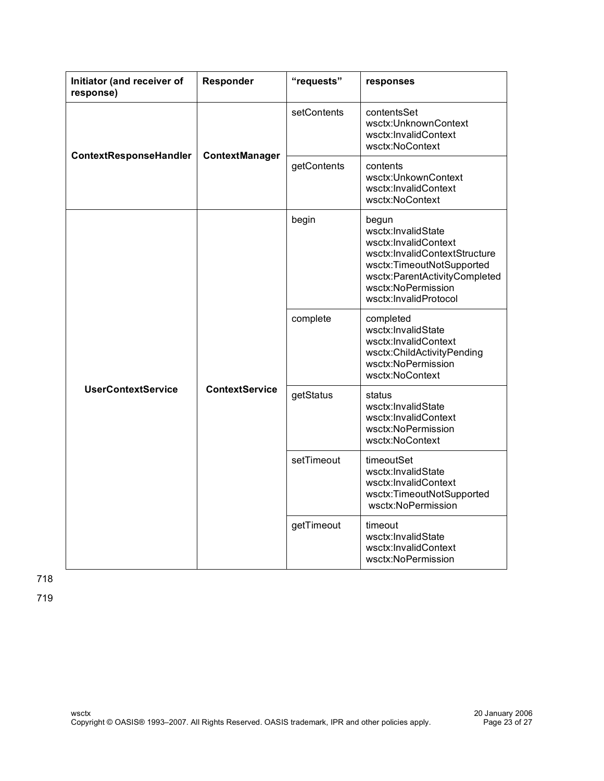| Initiator (and receiver of<br>response) | Responder             | "requests"  | responses                                                                                                                                                                                         |
|-----------------------------------------|-----------------------|-------------|---------------------------------------------------------------------------------------------------------------------------------------------------------------------------------------------------|
| ContextResponseHandler                  | ContextManager        | setContents | contentsSet<br>wsctx:UnknownContext<br>wsctx:InvalidContext<br>wsctx:NoContext                                                                                                                    |
|                                         |                       | getContents | contents<br>wsctx:UnkownContext<br>wsctx:InvalidContext<br>wsctx:NoContext                                                                                                                        |
|                                         | <b>ContextService</b> | begin       | begun<br>wsctx:InvalidState<br>wsctx:InvalidContext<br>wsctx:InvalidContextStructure<br>wsctx:TimeoutNotSupported<br>wsctx:ParentActivityCompleted<br>wsctx:NoPermission<br>wsctx:InvalidProtocol |
|                                         |                       | complete    | completed<br>wsctx:InvalidState<br>wsctx:InvalidContext<br>wsctx:ChildActivityPending<br>wsctx:NoPermission<br>wsctx:NoContext                                                                    |
| <b>UserContextService</b>               |                       | getStatus   | status<br>wsctx:InvalidState<br>wsctx:InvalidContext<br>wsctx:NoPermission<br>wsctx:NoContext                                                                                                     |
|                                         |                       | setTimeout  | timeoutSet<br>wsctx:InvalidState<br>wsctx:InvalidContext<br>wsctx:TimeoutNotSupported<br>wsctx:NoPermission                                                                                       |
|                                         |                       | getTimeout  | timeout<br>wsctx:InvalidState<br>wsctx:InvalidContext<br>wsctx:NoPermission                                                                                                                       |

718

719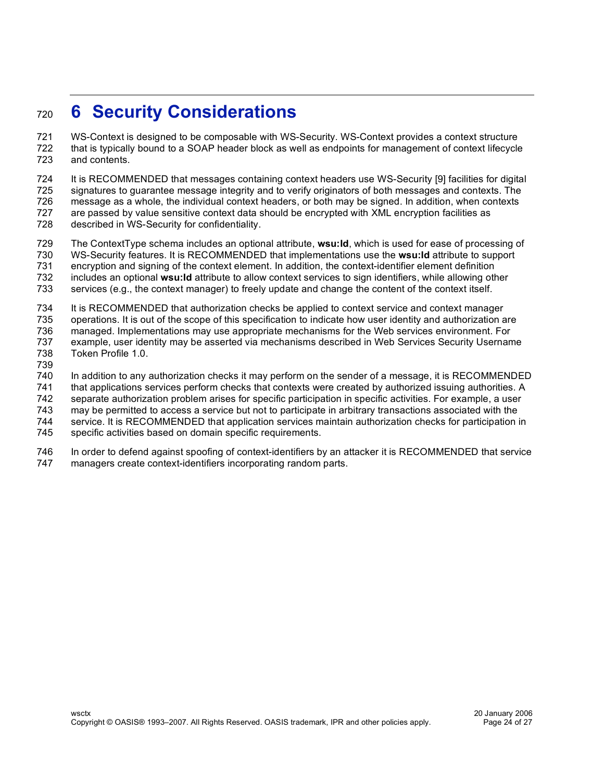### **6 Security Considerations**

 WS-Context is designed to be composable with WS-Security. WS-Context provides a context structure that is typically bound to a SOAP header block as well as endpoints for management of context lifecycle and contents.

 It is RECOMMENDED that messages containing context headers use WS-Security [9] facilities for digital signatures to guarantee message integrity and to verify originators of both messages and contexts. The message as a whole, the individual context headers, or both may be signed. In addition, when contexts are passed by value sensitive context data should be encrypted with XML encryption facilities as described in WS-Security for confidentiality.

 The ContextType schema includes an optional attribute, **wsu:Id**, which is used for ease of processing of WS-Security features. It is RECOMMENDED that implementations use the **wsu:Id** attribute to support encryption and signing of the context element. In addition, the context-identifier element definition includes an optional **wsu:Id** attribute to allow context services to sign identifiers, while allowing other

services (e.g., the context manager) to freely update and change the content of the context itself.

It is RECOMMENDED that authorization checks be applied to context service and context manager

operations. It is out of the scope of this specification to indicate how user identity and authorization are

 managed. Implementations may use appropriate mechanisms for the Web services environment. For example, user identity may be asserted via mechanisms described in Web Services Security Username

- Token Profile 1.0.
- 

In addition to any authorization checks it may perform on the sender of a message, it is RECOMMENDED

that applications services perform checks that contexts were created by authorized issuing authorities. A

separate authorization problem arises for specific participation in specific activities. For example, a user

may be permitted to access a service but not to participate in arbitrary transactions associated with the

service. It is RECOMMENDED that application services maintain authorization checks for participation in

specific activities based on domain specific requirements.

 In order to defend against spoofing of context-identifiers by an attacker it is RECOMMENDED that service managers create context-identifiers incorporating random parts.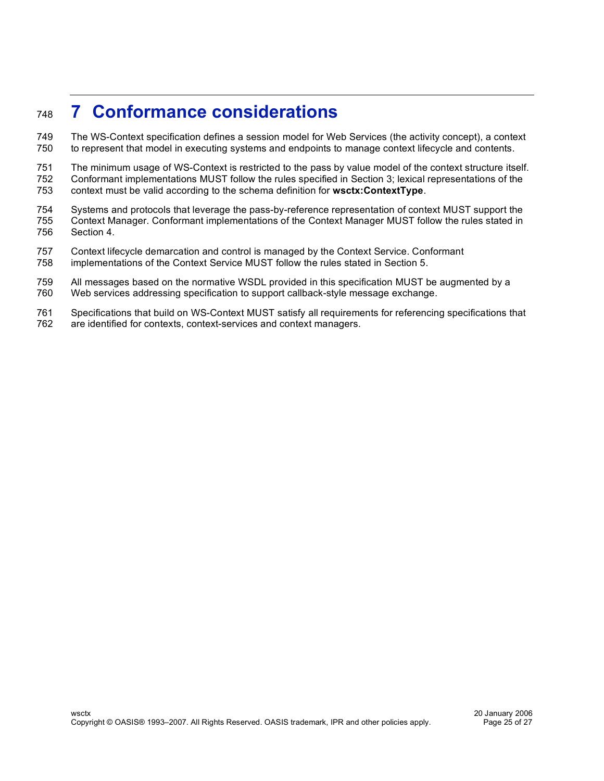### **7 Conformance considerations**

 The WS-Context specification defines a session model for Web Services (the activity concept), a context to represent that model in executing systems and endpoints to manage context lifecycle and contents.

 The minimum usage of WS-Context is restricted to the pass by value model of the context structure itself. Conformant implementations MUST follow the rules specified in Section 3; lexical representations of the context must be valid according to the schema definition for **wsctx:ContextType**.

 Systems and protocols that leverage the pass-by-reference representation of context MUST support the Context Manager. Conformant implementations of the Context Manager MUST follow the rules stated in Section 4.

- Context lifecycle demarcation and control is managed by the Context Service. Conformant
- implementations of the Context Service MUST follow the rules stated in Section 5.

 All messages based on the normative WSDL provided in this specification MUST be augmented by a Web services addressing specification to support callback-style message exchange.

 Specifications that build on WS-Context MUST satisfy all requirements for referencing specifications that are identified for contexts, context-services and context managers.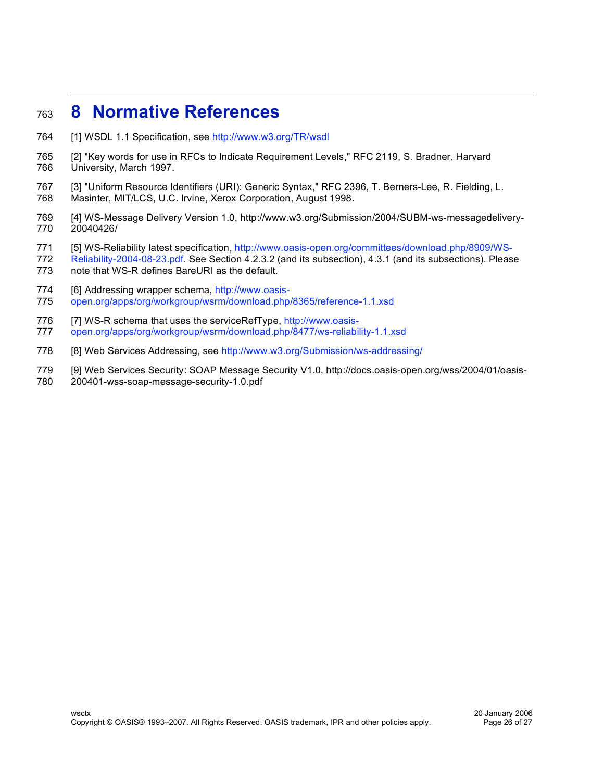### **8 Normative References**

- [1] WSDL 1.1 Specification, see http://www.w3.org/TR/wsdl
- [2] "Key words for use in RFCs to Indicate Requirement Levels," RFC 2119, S. Bradner, Harvard University, March 1997.
- [3] "Uniform Resource Identifiers (URI): Generic Syntax," RFC 2396, T. Berners-Lee, R. Fielding, L. Masinter, MIT/LCS, U.C. Irvine, Xerox Corporation, August 1998.
- 
- [4] WS-Message Delivery Version 1.0, http://www.w3.org/Submission/2004/SUBM-ws-messagedelivery-20040426/
- [5] WS-Reliability latest specification, http://www.oasis-open.org/committees/download.php/8909/WS-
- Reliability-2004-08-23.pdf. See Section 4.2.3.2 (and its subsection), 4.3.1 (and its subsections). Please
- note that WS-R defines BareURI as the default.
- 774 [6] Addressing wrapper schema, http://www.oasis-
- open.org/apps/org/workgroup/wsrm/download.php/8365/reference-1.1.xsd
- 776 [7] WS-R schema that uses the serviceRefType, http://www.oasis-open.org/apps/org/workgroup/wsrm/download.php/8477/ws-reliability-1.1.xsd
- [8] Web Services Addressing, see http://www.w3.org/Submission/ws-addressing/
- [9] Web Services Security: SOAP Message Security V1.0, http://docs.oasis-open.org/wss/2004/01/oasis-
- 200401-wss-soap-message-security-1.0.pdf